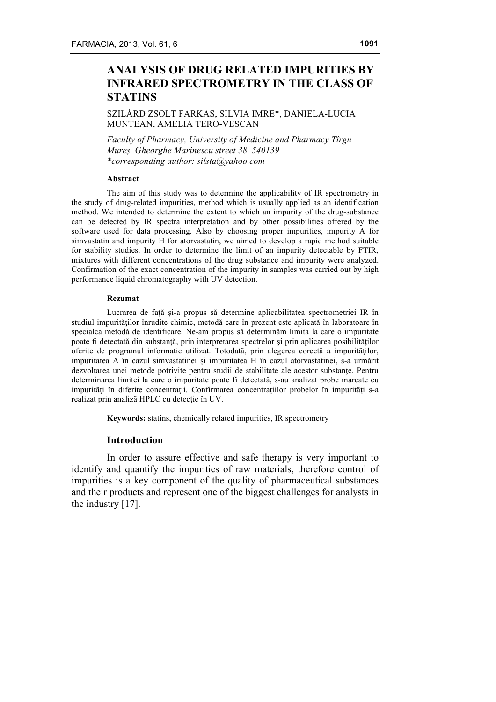# **ANALYSIS OF DRUG RELATED IMPURITIES BY INFRARED SPECTROMETRY IN THE CLASS OF STATINS**

SZILÁRD ZSOLT FARKAS, SILVIA IMRE\*, DANIELA-LUCIA MUNTEAN, AMELIA TERO-VESCAN

*Faculty of Pharmacy, University of Medicine and Pharmacy Tîrgu Mureş, Gheorghe Marinescu street 38, 540139 \*corresponding author: silsta@yahoo.com*

## **Abstract**

The aim of this study was to determine the applicability of IR spectrometry in the study of drug-related impurities, method which is usually applied as an identification method. We intended to determine the extent to which an impurity of the drug-substance can be detected by IR spectra interpretation and by other possibilities offered by the software used for data processing. Also by choosing proper impurities, impurity A for simvastatin and impurity H for atorvastatin, we aimed to develop a rapid method suitable for stability studies. In order to determine the limit of an impurity detectable by FTIR, mixtures with different concentrations of the drug substance and impurity were analyzed. Confirmation of the exact concentration of the impurity in samples was carried out by high performance liquid chromatography with UV detection.

#### **Rezumat**

Lucrarea de faţă şi-a propus să determine aplicabilitatea spectrometriei IR în studiul impurităţilor înrudite chimic, metodă care în prezent este aplicată în laboratoare în specialca metodă de identificare. Ne-am propus să determinăm limita la care o impuritate poate fi detectată din substanță, prin interpretarea spectrelor și prin aplicarea posibilităților oferite de programul informatic utilizat. Totodată, prin alegerea corectă a impurităţilor, impuritatea A în cazul simvastatinei şi impuritatea H în cazul atorvastatinei, s-a urmărit dezvoltarea unei metode potrivite pentru studii de stabilitate ale acestor substante. Pentru determinarea limitei la care o impuritate poate fi detectată, s-au analizat probe marcate cu impurități în diferite concentrații. Confirmarea concentrațiilor probelor în impurități s-a realizat prin analiză HPLC cu detectie în UV.

**Keywords:** statins, chemically related impurities, IR spectrometry

## **Introduction**

In order to assure effective and safe therapy is very important to identify and quantify the impurities of raw materials, therefore control of impurities is a key component of the quality of pharmaceutical substances and their products and represent one of the biggest challenges for analysts in the industry [17].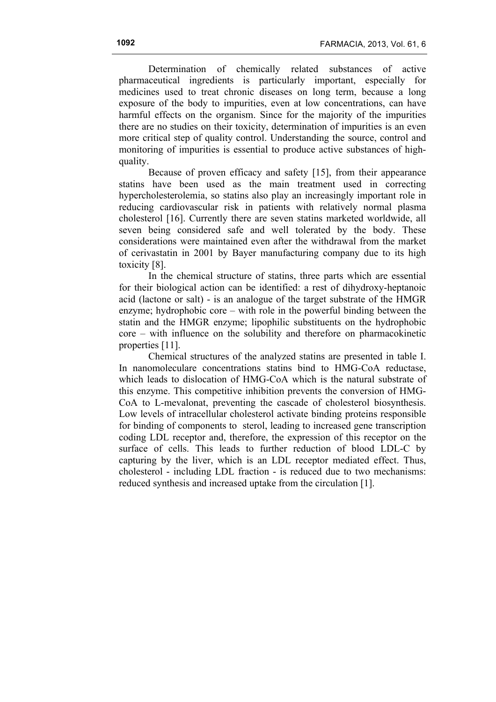Determination of chemically related substances of active pharmaceutical ingredients is particularly important, especially for medicines used to treat chronic diseases on long term, because a long exposure of the body to impurities, even at low concentrations, can have harmful effects on the organism. Since for the majority of the impurities there are no studies on their toxicity, determination of impurities is an even more critical step of quality control. Understanding the source, control and monitoring of impurities is essential to produce active substances of highquality.

Because of proven efficacy and safety [15], from their appearance statins have been used as the main treatment used in correcting hypercholesterolemia, so statins also play an increasingly important role in reducing cardiovascular risk in patients with relatively normal plasma cholesterol [16]. Currently there are seven statins marketed worldwide, all seven being considered safe and well tolerated by the body. These considerations were maintained even after the withdrawal from the market of cerivastatin in 2001 by Bayer manufacturing company due to its high toxicity [8].

In the chemical structure of statins, three parts which are essential for their biological action can be identified: a rest of dihydroxy-heptanoic acid (lactone or salt) - is an analogue of the target substrate of the HMGR enzyme; hydrophobic core – with role in the powerful binding between the statin and the HMGR enzyme; lipophilic substituents on the hydrophobic core – with influence on the solubility and therefore on pharmacokinetic properties [11].

Chemical structures of the analyzed statins are presented in table I. In nanomoleculare concentrations statins bind to HMG-CoA reductase, which leads to dislocation of HMG-CoA which is the natural substrate of this enzyme. This competitive inhibition prevents the conversion of HMG-CoA to L-mevalonat, preventing the cascade of cholesterol biosynthesis. Low levels of intracellular cholesterol activate binding proteins responsible for binding of components to sterol, leading to increased gene transcription coding LDL receptor and, therefore, the expression of this receptor on the surface of cells. This leads to further reduction of blood LDL-C by capturing by the liver, which is an LDL receptor mediated effect. Thus, cholesterol - including LDL fraction - is reduced due to two mechanisms: reduced synthesis and increased uptake from the circulation [1].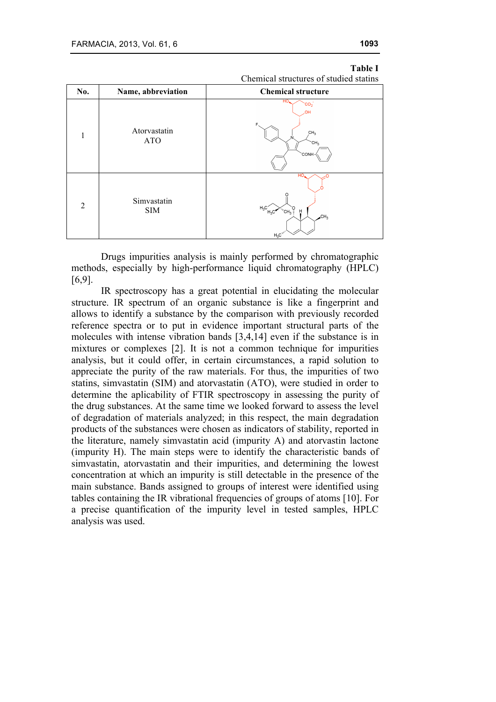|     |                            | Chemical structures of studied stating                                                                                                                 |  |
|-----|----------------------------|--------------------------------------------------------------------------------------------------------------------------------------------------------|--|
| No. | Name, abbreviation         | <b>Chemical structure</b>                                                                                                                              |  |
| 1   | Atorvastatin<br><b>ATO</b> | HO.<br>CO <sub>2</sub><br><b>JOH</b><br>F<br>CH <sub>3</sub><br>CH <sub>3</sub><br><b>CONH</b>                                                         |  |
| 2   | Simvastatin<br><b>SIM</b>  | HO,<br>$\rm H_3C_{\rm H_3C}^{\prime}$<br>$^{\prime\prime}$ CH <sub>3</sub> $\frac{3}{2}$<br>Ĥ<br>CH <sub>3</sub><br>$\mathbb{R}^n \times \mathbb{R}^n$ |  |

# **Table I**

| Chemical structures of studied statins |  |  |
|----------------------------------------|--|--|
|----------------------------------------|--|--|

Drugs impurities analysis is mainly performed by chromatographic methods, especially by high-performance liquid chromatography (HPLC) [6,9].

IR spectroscopy has a great potential in elucidating the molecular structure. IR spectrum of an organic substance is like a fingerprint and allows to identify a substance by the comparison with previously recorded reference spectra or to put in evidence important structural parts of the molecules with intense vibration bands [3,4,14] even if the substance is in mixtures or complexes [2]. It is not a common technique for impurities analysis, but it could offer, in certain circumstances, a rapid solution to appreciate the purity of the raw materials. For thus, the impurities of two statins, simvastatin (SIM) and atorvastatin (ATO), were studied in order to determine the aplicability of FTIR spectroscopy in assessing the purity of the drug substances. At the same time we looked forward to assess the level of degradation of materials analyzed; in this respect, the main degradation products of the substances were chosen as indicators of stability, reported in the literature, namely simvastatin acid (impurity A) and atorvastin lactone (impurity H). The main steps were to identify the characteristic bands of simvastatin, atorvastatin and their impurities, and determining the lowest concentration at which an impurity is still detectable in the presence of the main substance. Bands assigned to groups of interest were identified using tables containing the IR vibrational frequencies of groups of atoms [10]. For a precise quantification of the impurity level in tested samples, HPLC analysis was used.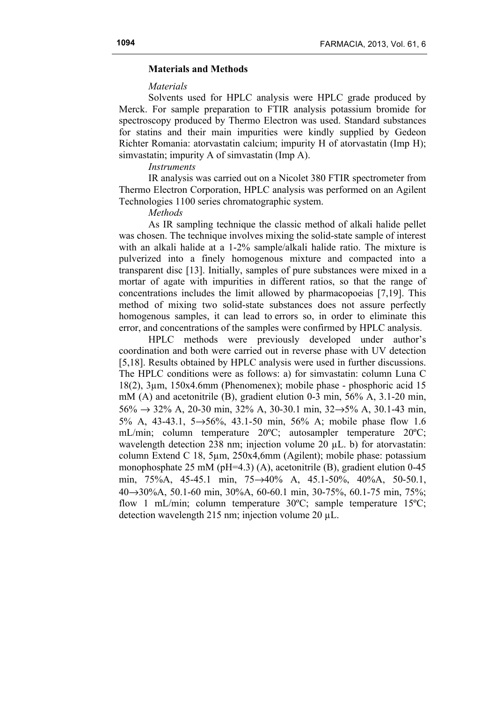# **Materials and Methods**

## *Materials*

Solvents used for HPLC analysis were HPLC grade produced by Merck. For sample preparation to FTIR analysis potassium bromide for spectroscopy produced by Thermo Electron was used. Standard substances for statins and their main impurities were kindly supplied by Gedeon Richter Romania: atorvastatin calcium; impurity H of atorvastatin (Imp H); simvastatin; impurity A of simvastatin (Imp A).

## *Instruments*

IR analysis was carried out on a Nicolet 380 FTIR spectrometer from Thermo Electron Corporation, HPLC analysis was performed on an Agilent Technologies 1100 series chromatographic system.

### *Methods*

As IR sampling technique the classic method of alkali halide pellet was chosen. The technique involves mixing the solid-state sample of interest with an alkali halide at a 1-2% sample/alkali halide ratio. The mixture is pulverized into a finely homogenous mixture and compacted into a transparent disc [13]. Initially, samples of pure substances were mixed in a mortar of agate with impurities in different ratios, so that the range of concentrations includes the limit allowed by pharmacopoeias [7,19]. This method of mixing two solid-state substances does not assure perfectly homogenous samples, it can lead to errors so, in order to eliminate this error, and concentrations of the samples were confirmed by HPLC analysis.

HPLC methods were previously developed under author's coordination and both were carried out in reverse phase with UV detection [5,18]. Results obtained by HPLC analysis were used in further discussions. The HPLC conditions were as follows: a) for simvastatin: column Luna C 18(2), 3µm, 150x4.6mm (Phenomenex); mobile phase - phosphoric acid 15 mM (A) and acetonitrile (B), gradient elution 0-3 min, 56% A, 3.1-20 min,  $56\% \rightarrow 32\%$  A, 20-30 min, 32% A, 30-30.1 min, 32 $\rightarrow$ 5% A, 30.1-43 min, 5% A, 43-43.1, 5→56%, 43.1-50 min, 56% A; mobile phase flow 1.6 mL/min; column temperature 20ºC; autosampler temperature 20ºC; wavelength detection 238 nm; injection volume 20  $\mu$ L. b) for atorvastatin: column Extend C 18, 5µm, 250x4,6mm (Agilent); mobile phase: potassium monophosphate 25 mM (pH=4.3) (A), acetonitrile (B), gradient elution 0-45 min, 75%A, 45-45.1 min, 75→40% A, 45.1-50%, 40%A, 50-50.1, 40→30%A, 50.1-60 min, 30%A, 60-60.1 min, 30-75%, 60.1-75 min, 75%; flow 1 mL/min; column temperature 30°C; sample temperature 15°C; detection wavelength 215 nm; injection volume 20 µL.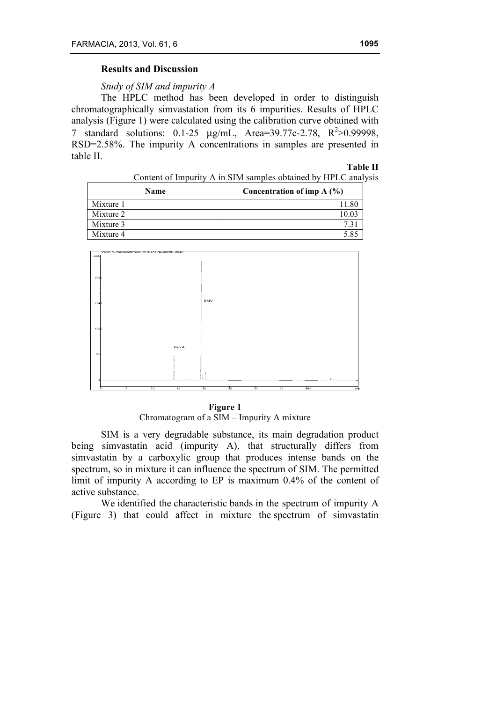# **Results and Discussion**

*Study of SIM and impurity A*

The HPLC method has been developed in order to distinguish chromatographically simvastation from its 6 impurities. Results of HPLC analysis (Figure 1) were calculated using the calibration curve obtained with 7 standard solutions:  $0.1-25 \mu g/mL$ , Area=39.77c-2.78, R<sup>2</sup>>0.99998, RSD=2.58%. The impurity A concentrations in samples are presented in table II.

#### **Table II**

Content of Impurity A in SIM samples obtained by HPLC analysis

| <b>Name</b> | Concentration of imp $A(\%)$ |
|-------------|------------------------------|
| Mixture 1   |                              |
| Mixture 2   |                              |
| Mixture 3   |                              |
| Mixture 4   |                              |



#### **Figure 1**

Chromatogram of a SIM – Impurity A mixture

SIM is a very degradable substance, its main degradation product being simvastatin acid (impurity A), that structurally differs from simvastatin by a carboxylic group that produces intense bands on the spectrum, so in mixture it can influence the spectrum of SIM. The permitted limit of impurity A according to EP is maximum 0.4% of the content of active substance.

We identified the characteristic bands in the spectrum of impurity A (Figure 3) that could affect in mixture the spectrum of simvastatin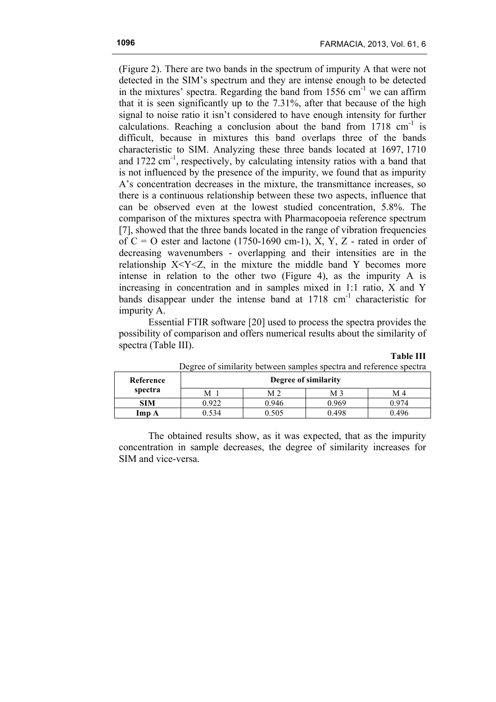**Table III**

(Figure 2). There are two bands in the spectrum of impurity A that were not detected in the SIM's spectrum and they are intense enough to be detected in the mixtures' spectra. Regarding the band from  $1556 \text{ cm}^{-1}$  we can affirm that it is seen significantly up to the 7.31%, after that because of the high signal to noise ratio it isn't considered to have enough intensity for further calculations. Reaching a conclusion about the band from  $1718 \text{ cm}^{-1}$  is difficult, because in mixtures this band overlaps three of the bands characteristic to SIM. Analyzing these three bands located at 1697, 1710 and  $1722 \text{ cm}^{-1}$ , respectively, by calculating intensity ratios with a band that is not influenced by the presence of the impurity, we found that as impurity A's concentration decreases in the mixture, the transmittance increases, so there is a continuous relationship between these two aspects, influence that can be observed even at the lowest studied concentration, 5.8%. The comparison of the mixtures spectra with Pharmacopoeia reference spectrum [7], showed that the three bands located in the range of vibration frequencies of  $C = O$  ester and lactone (1750-1690 cm-1), X, Y, Z - rated in order of decreasing wavenumbers - overlapping and their intensities are in the relationship  $X < Y < Z$ , in the mixture the middle band Y becomes more intense in relation to the other two (Figure 4), as the impurity A is increasing in concentration and in samples mixed in 1:1 ratio, X and Y bands disappear under the intense band at 1718 cm<sup>-1</sup> characteristic for impurity A.

Essential FTIR software [20] used to process the spectra provides the possibility of comparison and offers numerical results about the similarity of spectra (Table III).

| Degree of similatity between samples specula and reference specula |                      |       |       |       |
|--------------------------------------------------------------------|----------------------|-------|-------|-------|
| Reference                                                          | Degree of similarity |       |       |       |
| spectra                                                            | M                    | M 2   | М3    | M 4   |
| <b>SIM</b>                                                         | 0.922                | 0.946 | 0.969 | 0 974 |
| Imp A                                                              | ).534                | 0.505 | 0.498 | 0.496 |

Degree of similarity between samples spectra and reference spectra

The obtained results show, as it was expected, that as the impurity concentration in sample decreases, the degree of similarity increases for SIM and vice-versa.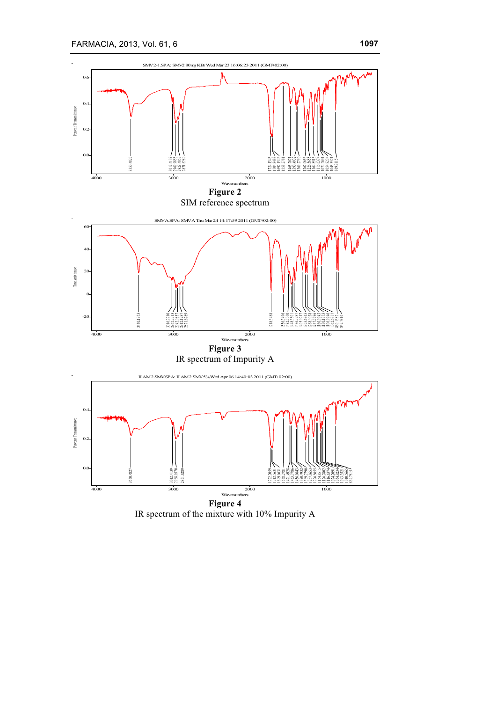

IR spectrum of the mixture with 10% Impurity A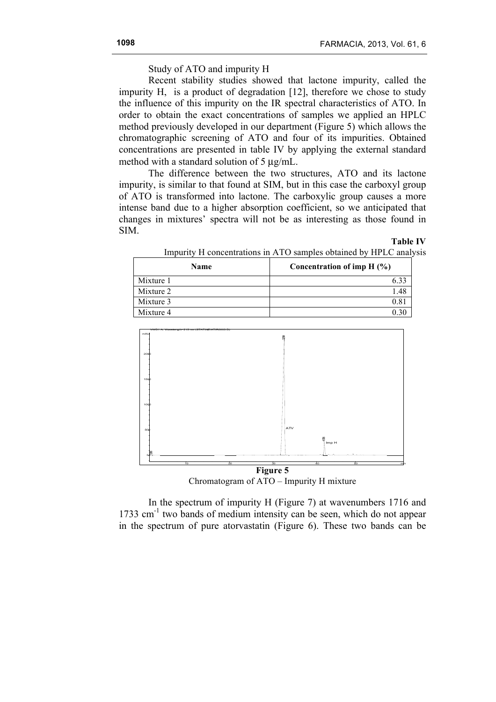**Table IV**

Study of ATO and impurity H

Recent stability studies showed that lactone impurity, called the impurity H, is a product of degradation [12], therefore we chose to study the influence of this impurity on the IR spectral characteristics of ATO. In order to obtain the exact concentrations of samples we applied an HPLC method previously developed in our department (Figure 5) which allows the chromatographic screening of ATO and four of its impurities. Obtained concentrations are presented in table IV by applying the external standard method with a standard solution of 5 µg/mL.

The difference between the two structures, ATO and its lactone impurity, is similar to that found at SIM, but in this case the carboxyl group of ATO is transformed into lactone. The carboxylic group causes a more intense band due to a higher absorption coefficient, so we anticipated that changes in mixtures' spectra will not be as interesting as those found in SIM.

| <b>Name</b> | Concentration of imp $H(\%)$ |  |
|-------------|------------------------------|--|
| Mixture 1   | 6.33                         |  |
| Mixture 2   | 1.48                         |  |
| Mixture 3   | 0.81                         |  |
| Mixture 4   | 0.30                         |  |

Impurity H concentrations in ATO samples obtained by HPLC analysis



Chromatogram of ATO – Impurity H mixture

In the spectrum of impurity H (Figure 7) at wavenumbers 1716 and 1733  $\text{cm}^{-1}$  two bands of medium intensity can be seen, which do not appear in the spectrum of pure atorvastatin (Figure 6). These two bands can be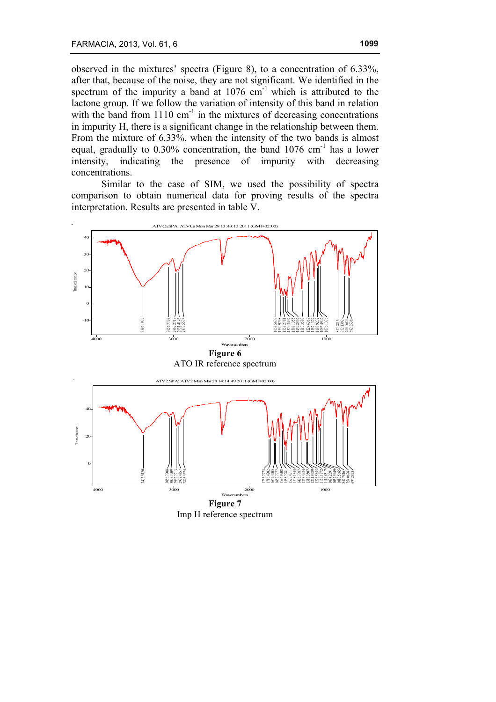observed in the mixtures' spectra (Figure 8), to a concentration of 6.33%, after that, because of the noise, they are not significant. We identified in the spectrum of the impurity a band at  $1076 \text{ cm}^{-1}$  which is attributed to the lactone group. If we follow the variation of intensity of this band in relation with the band from  $1110 \text{ cm}^{-1}$  in the mixtures of decreasing concentrations in impurity H, there is a significant change in the relationship between them. From the mixture of 6.33%, when the intensity of the two bands is almost equal, gradually to  $0.30\%$  concentration, the band  $1076 \text{ cm}^{-1}$  has a lower intensity, indicating the presence of impurity with decreasing concentrations.

Similar to the case of SIM, we used the possibility of spectra comparison to obtain numerical data for proving results of the spectra interpretation. Results are presented in table V.



Imp H reference spectrum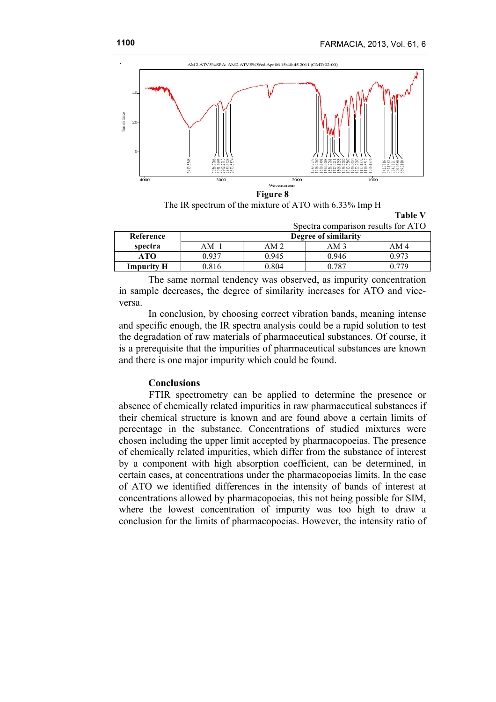**Table V**



The IR spectrum of the mixture of ATO with 6.33% Imp H

| Spectra comparison results for ATO |                      |                 |       |                 |
|------------------------------------|----------------------|-----------------|-------|-----------------|
| Reference                          | Degree of similarity |                 |       |                 |
| spectra                            | AM <sub>1</sub>      | AM <sub>2</sub> | AM 3  | AM <sub>4</sub> |
| ATO                                | በ 937                | 0.945           | 0.946 | 0.973           |
| <b>Impurity H</b>                  | 0.816                | ን ጸበ4           | 0 787 |                 |

The same normal tendency was observed, as impurity concentration in sample decreases, the degree of similarity increases for ATO and viceversa.

In conclusion, by choosing correct vibration bands, meaning intense and specific enough, the IR spectra analysis could be a rapid solution to test the degradation of raw materials of pharmaceutical substances. Of course, it is a prerequisite that the impurities of pharmaceutical substances are known and there is one major impurity which could be found.

# **Conclusions**

FTIR spectrometry can be applied to determine the presence or absence of chemically related impurities in raw pharmaceutical substances if their chemical structure is known and are found above a certain limits of percentage in the substance. Concentrations of studied mixtures were chosen including the upper limit accepted by pharmacopoeias. The presence of chemically related impurities, which differ from the substance of interest by a component with high absorption coefficient, can be determined, in certain cases, at concentrations under the pharmacopoeias limits. In the case of ATO we identified differences in the intensity of bands of interest at concentrations allowed by pharmacopoeias, this not being possible for SIM, where the lowest concentration of impurity was too high to draw a conclusion for the limits of pharmacopoeias. However, the intensity ratio of